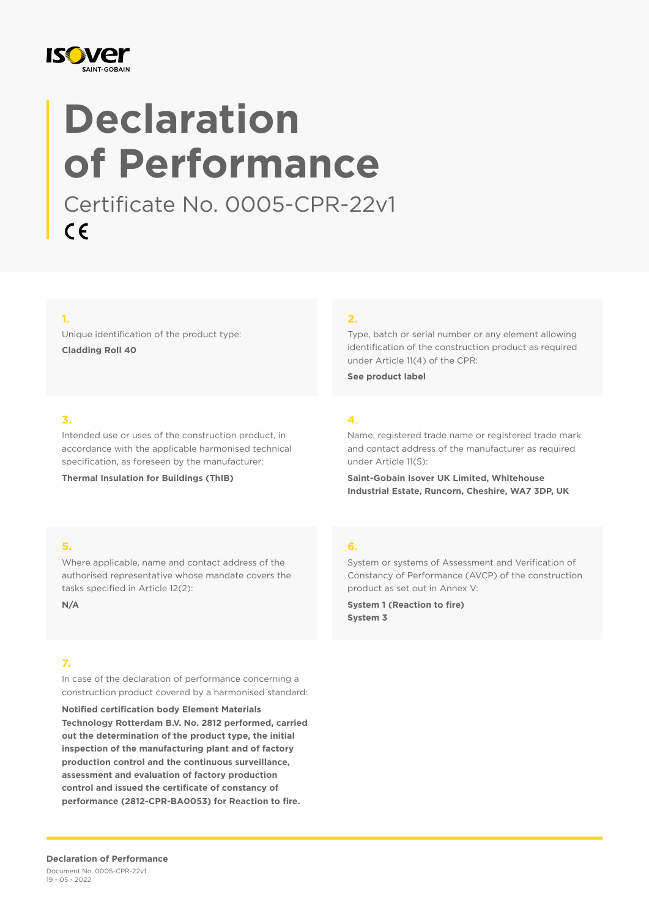

# **Declaration of Performance**

Certificate No. 0005-CPR-22v1  $C \in$ 

#### **1.**

Unique identification of the product type: **Cladding Roll 40**

#### **2.**

Type, batch or serial number or any element allowing identification of the construction product as required under Article 11(4) of the CPR:

**See product label**

### **3.**

Intended use or uses of the construction product, in accordance with the applicable harmonised technical specification, as foreseen by the manufacturer:

**Thermal Insulation for Buildings (ThIB)**

## **4.**

Name, registered trade name or registered trade mark and contact address of the manufacturer as required under Article 11(5):

**Saint-Gobain Isover UK Limited, Whitehouse Industrial Estate, Runcorn, Cheshire, WA7 3DP, UK**

#### **5.**

Where applicable, name and contact address of the authorised representative whose mandate covers the tasks specified in Article 12(2):

**N/A**

#### **7.**

In case of the declaration of performance concerning a construction product covered by a harmonised standard:

**Notified certification body Element Materials Technology Rotterdam B.V. No. 2812 performed, carried out the determination of the product type, the initial inspection of the manufacturing plant and of factory production control and the continuous surveillance, assessment and evaluation of factory production control and issued the certificate of constancy of performance (2812-CPR-BA0053) for Reaction to fire.**

#### **6.**

System or systems of Assessment and Verification of Constancy of Performance (AVCP) of the construction product as set out in Annex V:

**System 1 (Reaction to fire) System 3**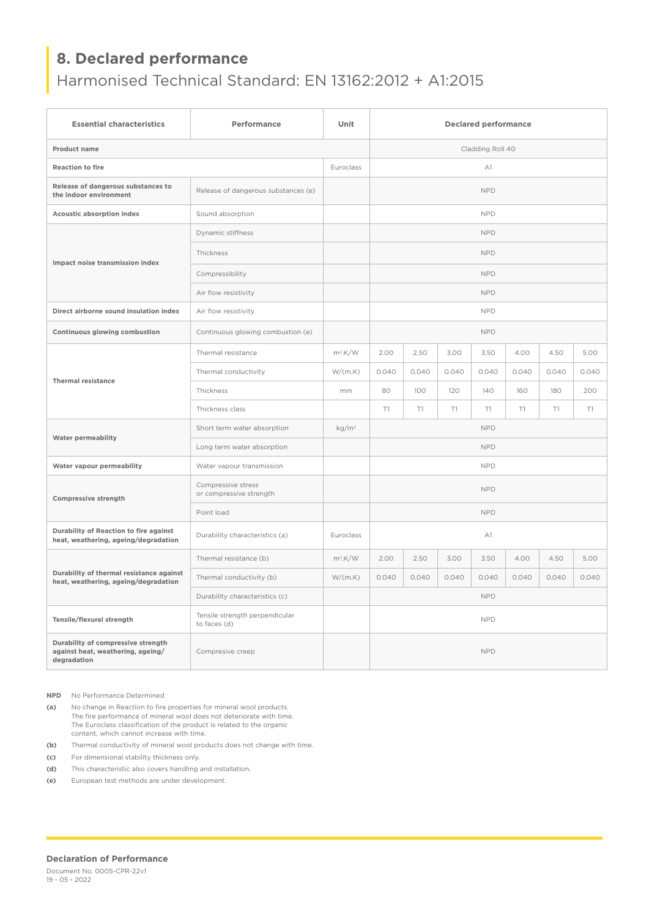# **8. Declared performance**

## Harmonised Technical Standard: EN 13162:2012 + A1:2015

| <b>Essential characteristics</b>                                                       | Performance                                    | Unit              | <b>Declared performance</b> |       |       |       |       |       |       |
|----------------------------------------------------------------------------------------|------------------------------------------------|-------------------|-----------------------------|-------|-------|-------|-------|-------|-------|
| Product name                                                                           |                                                |                   | Cladding Roll 40            |       |       |       |       |       |       |
| <b>Reaction to fire</b>                                                                |                                                | Euroclass         | A1                          |       |       |       |       |       |       |
| Release of dangerous substances to<br>the indoor environment                           | Release of dangerous substances (e)            |                   | <b>NPD</b>                  |       |       |       |       |       |       |
| Acoustic absorption index                                                              | Sound absorption                               |                   | <b>NPD</b>                  |       |       |       |       |       |       |
| Impact noise transmission index                                                        | Dynamic stiffness                              |                   | <b>NPD</b>                  |       |       |       |       |       |       |
|                                                                                        | Thickness                                      |                   | <b>NPD</b>                  |       |       |       |       |       |       |
|                                                                                        | Compressibility                                |                   | <b>NPD</b>                  |       |       |       |       |       |       |
|                                                                                        | Air flow resistivity                           |                   | <b>NPD</b>                  |       |       |       |       |       |       |
| Direct airborne sound insulation index                                                 | Air flow resistivity                           |                   | <b>NPD</b>                  |       |       |       |       |       |       |
| Continuous glowing combustion                                                          | Continuous glowing combustion (e)              |                   | <b>NPD</b>                  |       |       |       |       |       |       |
| <b>Thermal resistance</b>                                                              | Thermal resistance                             | $m^2$ .K/W        | 2.00                        | 2.50  | 3.00  | 3.50  | 4.00  | 4.50  | 5.00  |
|                                                                                        | Thermal conductivity                           | W/(m.K)           | 0.040                       | 0.040 | 0.040 | 0.040 | 0.040 | 0.040 | 0.040 |
|                                                                                        | Thickness                                      | mm                | 80                          | 100   | 120   | 140   | 160   | 180   | 200   |
|                                                                                        | Thickness class                                |                   | T1                          | T1    | T1    | T1    | T1    | T1    | T1    |
| <b>Water permeability</b>                                                              | Short term water absorption                    | kg/m <sup>2</sup> | <b>NPD</b>                  |       |       |       |       |       |       |
|                                                                                        | Long term water absorption                     |                   | <b>NPD</b>                  |       |       |       |       |       |       |
| Water vapour permeability                                                              | Water vapour transmission                      |                   | <b>NPD</b>                  |       |       |       |       |       |       |
| <b>Compressive strength</b>                                                            | Compressive stress<br>or compressive strength  |                   | <b>NPD</b>                  |       |       |       |       |       |       |
|                                                                                        | Point load                                     |                   | <b>NPD</b>                  |       |       |       |       |       |       |
| Durability of Reaction to fire against<br>heat, weathering, ageing/degradation         | Durability characteristics (a)                 | Euroclass         | A1                          |       |       |       |       |       |       |
| Durability of thermal resistance against<br>heat, weathering, ageing/degradation       | Thermal resistance (b)                         | $m^2$ .K/W        | 2.00                        | 2.50  | 3.00  | 3.50  | 4.00  | 4.50  | 5.00  |
|                                                                                        | Thermal conductivity (b)                       | W/(m.K)           | 0.040                       | 0.040 | 0.040 | 0.040 | 0.040 | 0.040 | 0.040 |
|                                                                                        | Durability characteristics (c)                 |                   | <b>NPD</b>                  |       |       |       |       |       |       |
| Tensile/flexural strength                                                              | Tensile strength perpendicular<br>to faces (d) |                   | <b>NPD</b>                  |       |       |       |       |       |       |
| Durability of compressive strength<br>against heat, weathering, ageing/<br>degradation | Compresive creep                               |                   | <b>NPD</b>                  |       |       |       |       |       |       |

**NPD** No Performance Determined

**(a)** No change in Reaction to fire properties for mineral wool products. The fire performance of mineral wool does not deteriorate with time. The Euroclass classification of the product is related to the organic content, which cannot increase with time.

**(b)** Thermal conductivity of mineral wool products does not change with time.

**(c)** For dimensional stability thickness only.

**(d)** This characteristic also covers handling and installation.

**(e)** European test methods are under development.

#### **Declaration of Performance**

Document No. 0005-CPR-22v1 19 - 05 - 2022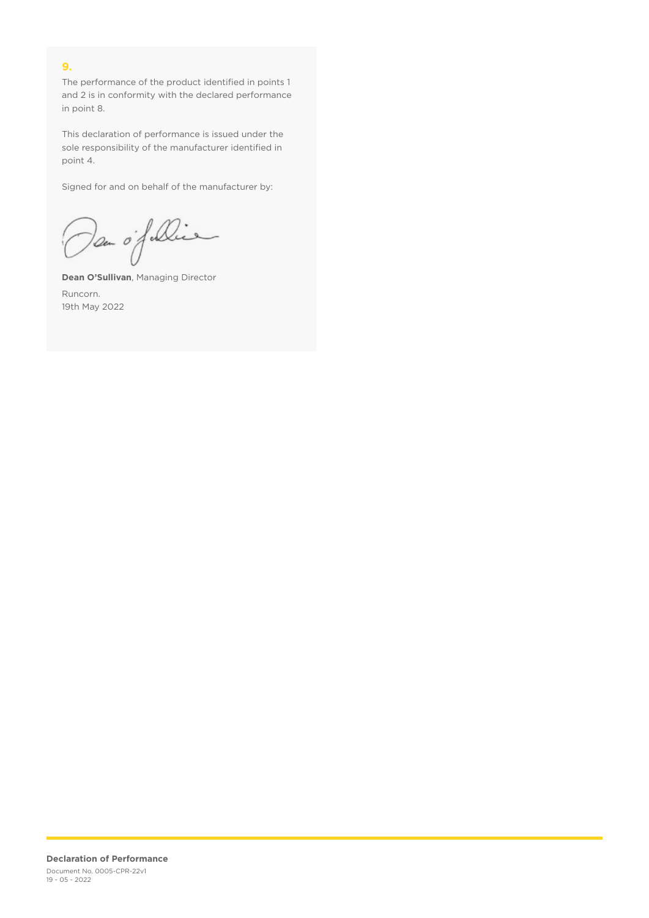## **9.**

The performance of the product identified in points 1 and 2 is in conformity with the declared performance in point 8.

This declaration of performance is issued under the sole responsibility of the manufacturer identified in point 4.

Signed for and on behalf of the manufacturer by:

Dan of Die

**Dean O'Sullivan**, Managing Director Runcorn. 19th May 2022